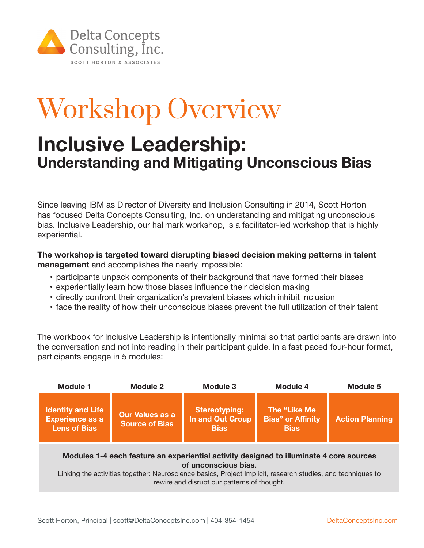

## Workshop Overview

## **Inclusive Leadership: Understanding and Mitigating Unconscious Bias**

Since leaving IBM as Director of Diversity and Inclusion Consulting in 2014, Scott Horton has focused Delta Concepts Consulting, Inc. on understanding and mitigating unconscious bias. Inclusive Leadership, our hallmark workshop, is a facilitator-led workshop that is highly experiential.

**The workshop is targeted toward disrupting biased decision making patterns in talent management** and accomplishes the nearly impossible:

- participants unpack components of their background that have formed their biases
- experientially learn how those biases influence their decision making
- • directly confront their organization's prevalent biases which inhibit inclusion
- face the reality of how their unconscious biases prevent the full utilization of their talent

The workbook for Inclusive Leadership is intentionally minimal so that participants are drawn into the conversation and not into reading in their participant guide. In a fast paced four-hour format, participants engage in 5 modules:

| Module 1                                                                                                                                                                                                                       | Module 2                                        | Module 3                                                       | Module 4                                                | <b>Module 5</b>        |
|--------------------------------------------------------------------------------------------------------------------------------------------------------------------------------------------------------------------------------|-------------------------------------------------|----------------------------------------------------------------|---------------------------------------------------------|------------------------|
| <b>Identity and Life</b><br><b>Experience as a</b><br><b>Lens of Bias</b>                                                                                                                                                      | <b>Our Values as a</b><br><b>Source of Bias</b> | <b>Stereotyping:</b><br><b>In and Out Group</b><br><b>Bias</b> | The "Like Me<br><b>Bias" or Affinity</b><br><b>Bias</b> | <b>Action Planning</b> |
| Modules 1-4 each feature an experiential activity designed to illuminate 4 core sources<br>of unconscious bias.<br>Linking the activities together: Neuroscience besies. Preject Implicit, research studies, and toghniques to |                                                 |                                                                |                                                         |                        |

Linking the activities together: Neuroscience basics, Project Implicit, research studies, and techniques to rewire and disrupt our patterns of thought.